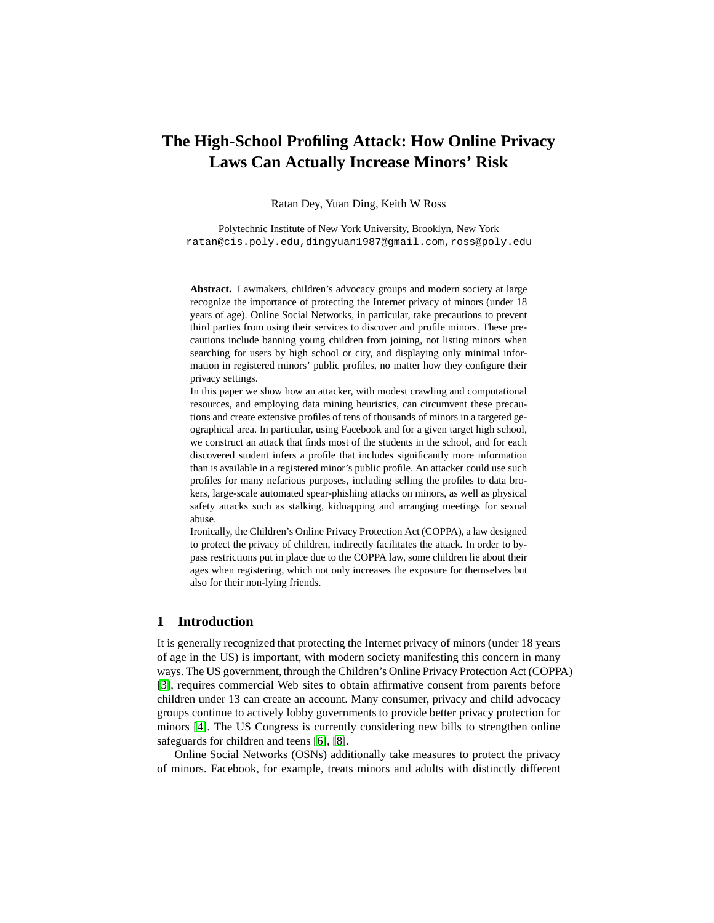# **The High-School Profiling Attack: How Online Privacy Laws Can Actually Increase Minors' Risk**

Ratan Dey, Yuan Ding, Keith W Ross

Polytechnic Institute of New York University, Brooklyn, New York ratan@cis.poly.edu,dingyuan1987@gmail.com,ross@poly.edu

**Abstract.** Lawmakers, children's advocacy groups and modern society at large recognize the importance of protecting the Internet privacy of minors (under 18 years of age). Online Social Networks, in particular, take precautions to prevent third parties from using their services to discover and profile minors. These precautions include banning young children from joining, not listing minors when searching for users by high school or city, and displaying only minimal information in registered minors' public profiles, no matter how they configure their privacy settings.

In this paper we show how an attacker, with modest crawling and computational resources, and employing data mining heuristics, can circumvent these precautions and create extensive profiles of tens of thousands of minors in a targeted geographical area. In particular, using Facebook and for a given target high school, we construct an attack that finds most of the students in the school, and for each discovered student infers a profile that includes significantly more information than is available in a registered minor's public profile. An attacker could use such profiles for many nefarious purposes, including selling the profiles to data brokers, large-scale automated spear-phishing attacks on minors, as well as physical safety attacks such as stalking, kidnapping and arranging meetings for sexual abuse.

Ironically, the Children's Online Privacy Protection Act (COPPA), a law designed to protect the privacy of children, indirectly facilitates the attack. In order to bypass restrictions put in place due to the COPPA law, some children lie about their ages when registering, which not only increases the exposure for themselves but also for their non-lying friends.

# **1 Introduction**

It is generally recognized that protecting the Internet privacy of minors (under 18 years of age in the US) is important, with modern society manifesting this concern in many ways. The US government, through the Children's Online Privacy Protection Act (COPPA) [\[3\]](#page-13-0), requires commercial Web sites to obtain affirmative consent from parents before children under 13 can create an account. Many consumer, privacy and child advocacy groups continue to actively lobby governments to provide better privacy protection for minors [\[4\]](#page-13-1). The US Congress is currently considering new bills to strengthen online safeguards for children and teens [\[6\]](#page-13-2), [\[8\]](#page-13-3).

Online Social Networks (OSNs) additionally take measures to protect the privacy of minors. Facebook, for example, treats minors and adults with distinctly different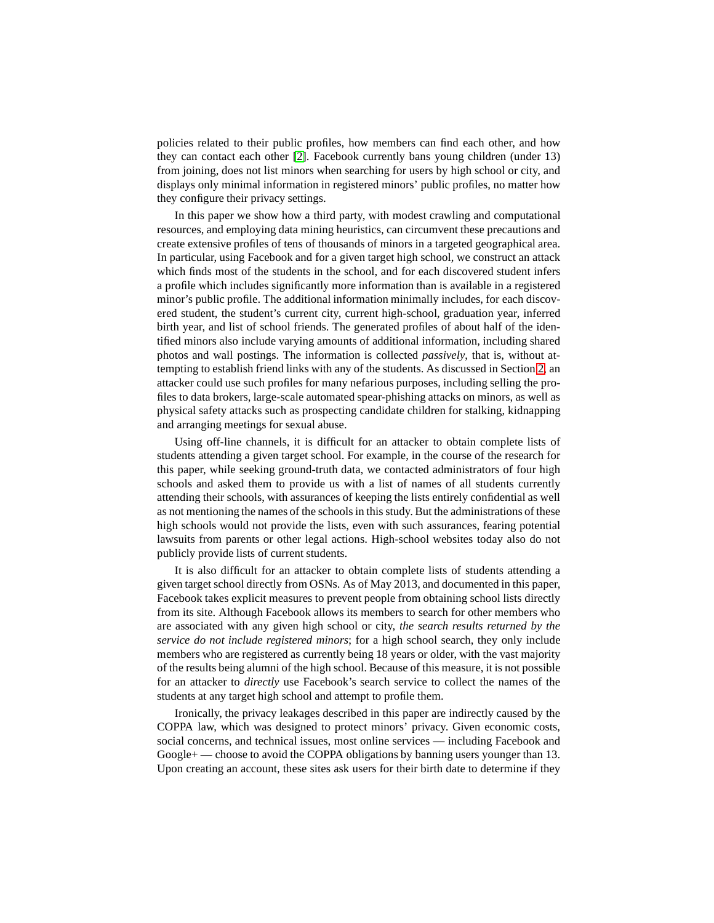policies related to their public profiles, how members can find each other, and how they can contact each other [\[2\]](#page-13-4). Facebook currently bans young children (under 13) from joining, does not list minors when searching for users by high school or city, and displays only minimal information in registered minors' public profiles, no matter how they configure their privacy settings.

In this paper we show how a third party, with modest crawling and computational resources, and employing data mining heuristics, can circumvent these precautions and create extensive profiles of tens of thousands of minors in a targeted geographical area. In particular, using Facebook and for a given target high school, we construct an attack which finds most of the students in the school, and for each discovered student infers a profile which includes significantly more information than is available in a registered minor's public profile. The additional information minimally includes, for each discovered student, the student's current city, current high-school, graduation year, inferred birth year, and list of school friends. The generated profiles of about half of the identified minors also include varying amounts of additional information, including shared photos and wall postings. The information is collected *passively*, that is, without attempting to establish friend links with any of the students. As discussed in Section [2,](#page-2-0) an attacker could use such profiles for many nefarious purposes, including selling the profiles to data brokers, large-scale automated spear-phishing attacks on minors, as well as physical safety attacks such as prospecting candidate children for stalking, kidnapping and arranging meetings for sexual abuse.

Using off-line channels, it is difficult for an attacker to obtain complete lists of students attending a given target school. For example, in the course of the research for this paper, while seeking ground-truth data, we contacted administrators of four high schools and asked them to provide us with a list of names of all students currently attending their schools, with assurances of keeping the lists entirely confidential as well as not mentioning the names of the schools in this study. But the administrations of these high schools would not provide the lists, even with such assurances, fearing potential lawsuits from parents or other legal actions. High-school websites today also do not publicly provide lists of current students.

It is also difficult for an attacker to obtain complete lists of students attending a given target school directly from OSNs. As of May 2013, and documented in this paper, Facebook takes explicit measures to prevent people from obtaining school lists directly from its site. Although Facebook allows its members to search for other members who are associated with any given high school or city, *the search results returned by the service do not include registered minors*; for a high school search, they only include members who are registered as currently being 18 years or older, with the vast majority of the results being alumni of the high school. Because of this measure, it is not possible for an attacker to *directly* use Facebook's search service to collect the names of the students at any target high school and attempt to profile them.

Ironically, the privacy leakages described in this paper are indirectly caused by the COPPA law, which was designed to protect minors' privacy. Given economic costs, social concerns, and technical issues, most online services — including Facebook and Google+ — choose to avoid the COPPA obligations by banning users younger than 13. Upon creating an account, these sites ask users for their birth date to determine if they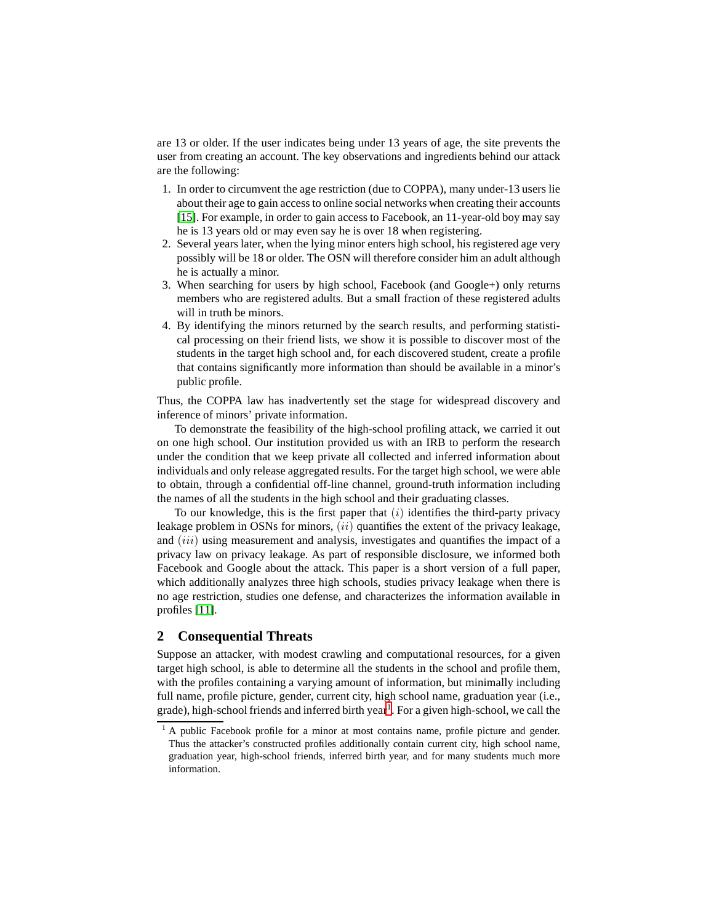are 13 or older. If the user indicates being under 13 years of age, the site prevents the user from creating an account. The key observations and ingredients behind our attack are the following:

- 1. In order to circumvent the age restriction (due to COPPA), many under-13 users lie about their age to gain access to online social networks when creating their accounts [\[15\]](#page-14-0). For example, in order to gain access to Facebook, an 11-year-old boy may say he is 13 years old or may even say he is over 18 when registering.
- 2. Several years later, when the lying minor enters high school, his registered age very possibly will be 18 or older. The OSN will therefore consider him an adult although he is actually a minor.
- 3. When searching for users by high school, Facebook (and Google+) only returns members who are registered adults. But a small fraction of these registered adults will in truth be minors.
- 4. By identifying the minors returned by the search results, and performing statistical processing on their friend lists, we show it is possible to discover most of the students in the target high school and, for each discovered student, create a profile that contains significantly more information than should be available in a minor's public profile.

Thus, the COPPA law has inadvertently set the stage for widespread discovery and inference of minors' private information.

To demonstrate the feasibility of the high-school profiling attack, we carried it out on one high school. Our institution provided us with an IRB to perform the research under the condition that we keep private all collected and inferred information about individuals and only release aggregated results. For the target high school, we were able to obtain, through a confidential off-line channel, ground-truth information including the names of all the students in the high school and their graduating classes.

To our knowledge, this is the first paper that  $(i)$  identifies the third-party privacy leakage problem in OSNs for minors,  $(ii)$  quantifies the extent of the privacy leakage, and *(iii)* using measurement and analysis, investigates and quantifies the impact of a privacy law on privacy leakage. As part of responsible disclosure, we informed both Facebook and Google about the attack. This paper is a short version of a full paper, which additionally analyzes three high schools, studies privacy leakage when there is no age restriction, studies one defense, and characterizes the information available in profiles [\[11\]](#page-13-5).

# <span id="page-2-0"></span>**2 Consequential Threats**

Suppose an attacker, with modest crawling and computational resources, for a given target high school, is able to determine all the students in the school and profile them, with the profiles containing a varying amount of information, but minimally including full name, profile picture, gender, current city, high school name, graduation year (i.e., grade), high-school friends and inferred birth year<sup>[1](#page-2-1)</sup>. For a given high-school, we call the

<span id="page-2-1"></span><sup>&</sup>lt;sup>1</sup> A public Facebook profile for a minor at most contains name, profile picture and gender. Thus the attacker's constructed profiles additionally contain current city, high school name, graduation year, high-school friends, inferred birth year, and for many students much more information.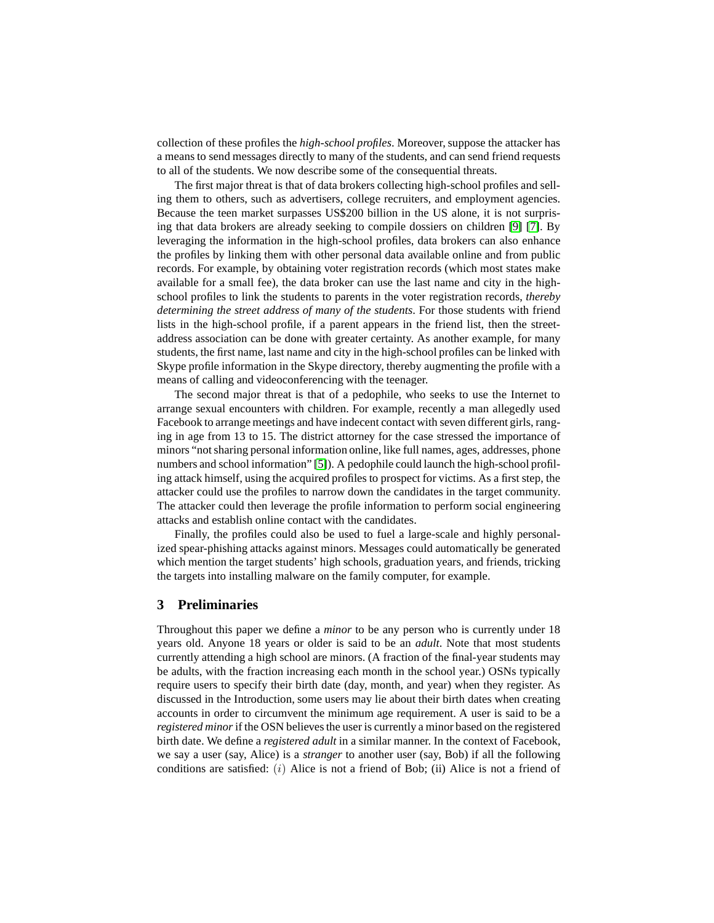collection of these profiles the *high-school profiles*. Moreover, suppose the attacker has a means to send messages directly to many of the students, and can send friend requests to all of the students. We now describe some of the consequential threats.

The first major threat is that of data brokers collecting high-school profiles and selling them to others, such as advertisers, college recruiters, and employment agencies. Because the teen market surpasses US\$200 billion in the US alone, it is not surprising that data brokers are already seeking to compile dossiers on children [\[9\]](#page-13-6) [\[7\]](#page-13-7). By leveraging the information in the high-school profiles, data brokers can also enhance the profiles by linking them with other personal data available online and from public records. For example, by obtaining voter registration records (which most states make available for a small fee), the data broker can use the last name and city in the highschool profiles to link the students to parents in the voter registration records, *thereby determining the street address of many of the students*. For those students with friend lists in the high-school profile, if a parent appears in the friend list, then the streetaddress association can be done with greater certainty. As another example, for many students, the first name, last name and city in the high-school profiles can be linked with Skype profile information in the Skype directory, thereby augmenting the profile with a means of calling and videoconferencing with the teenager.

The second major threat is that of a pedophile, who seeks to use the Internet to arrange sexual encounters with children. For example, recently a man allegedly used Facebook to arrange meetings and have indecent contact with seven different girls, ranging in age from 13 to 15. The district attorney for the case stressed the importance of minors "not sharing personal information online, like full names, ages, addresses, phone numbers and school information" [\[5\]](#page-13-8)). A pedophile could launch the high-school profiling attack himself, using the acquired profiles to prospect for victims. As a first step, the attacker could use the profiles to narrow down the candidates in the target community. The attacker could then leverage the profile information to perform social engineering attacks and establish online contact with the candidates.

Finally, the profiles could also be used to fuel a large-scale and highly personalized spear-phishing attacks against minors. Messages could automatically be generated which mention the target students' high schools, graduation years, and friends, tricking the targets into installing malware on the family computer, for example.

# <span id="page-3-0"></span>**3 Preliminaries**

Throughout this paper we define a *minor* to be any person who is currently under 18 years old. Anyone 18 years or older is said to be an *adult*. Note that most students currently attending a high school are minors. (A fraction of the final-year students may be adults, with the fraction increasing each month in the school year.) OSNs typically require users to specify their birth date (day, month, and year) when they register. As discussed in the Introduction, some users may lie about their birth dates when creating accounts in order to circumvent the minimum age requirement. A user is said to be a *registered minor*if the OSN believes the user is currently a minor based on the registered birth date. We define a *registered adult* in a similar manner. In the context of Facebook, we say a user (say, Alice) is a *stranger* to another user (say, Bob) if all the following conditions are satisfied:  $(i)$  Alice is not a friend of Bob; (ii) Alice is not a friend of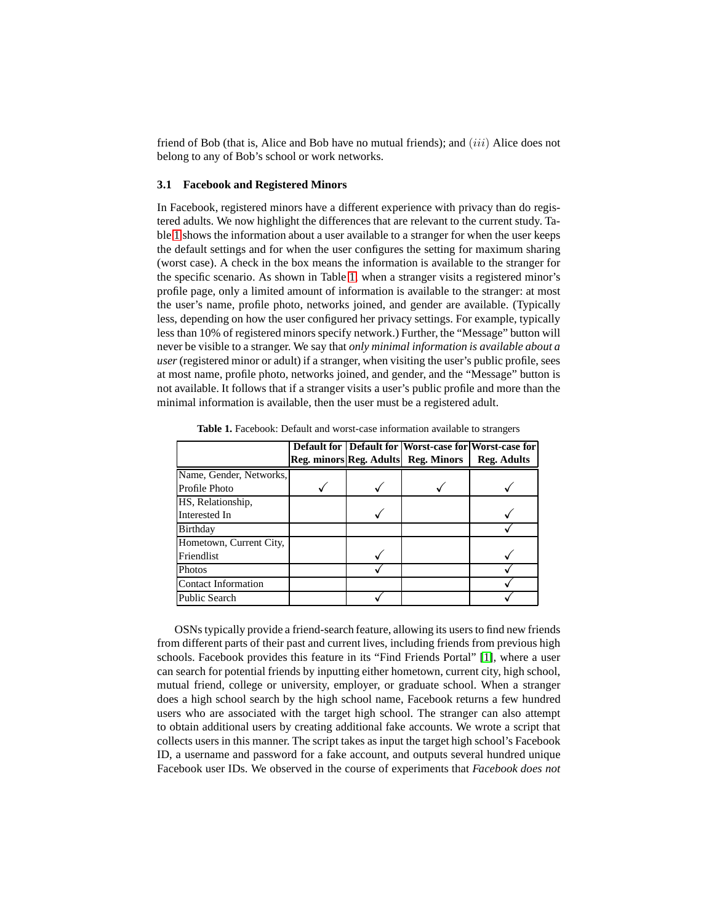friend of Bob (that is, Alice and Bob have no mutual friends); and  $(iii)$  Alice does not belong to any of Bob's school or work networks.

# **3.1 Facebook and Registered Minors**

In Facebook, registered minors have a different experience with privacy than do registered adults. We now highlight the differences that are relevant to the current study. Table [1](#page-4-0) shows the information about a user available to a stranger for when the user keeps the default settings and for when the user configures the setting for maximum sharing (worst case). A check in the box means the information is available to the stranger for the specific scenario. As shown in Table [1,](#page-4-0) when a stranger visits a registered minor's profile page, only a limited amount of information is available to the stranger: at most the user's name, profile photo, networks joined, and gender are available. (Typically less, depending on how the user configured her privacy settings. For example, typically less than 10% of registered minors specify network.) Further, the "Message" button will never be visible to a stranger. We say that *only minimal information is available about a user* (registered minor or adult) if a stranger, when visiting the user's public profile, sees at most name, profile photo, networks joined, and gender, and the "Message" button is not available. It follows that if a stranger visits a user's public profile and more than the minimal information is available, then the user must be a registered adult.

|                            |  |                                     | <b>Default for   Default for   Worst-case for   Worst-case for  </b> |
|----------------------------|--|-------------------------------------|----------------------------------------------------------------------|
|                            |  | Reg. minors Reg. Adults Reg. Minors | <b>Reg. Adults</b>                                                   |
| Name, Gender, Networks,    |  |                                     |                                                                      |
| Profile Photo              |  |                                     |                                                                      |
| HS, Relationship,          |  |                                     |                                                                      |
| Interested In              |  |                                     |                                                                      |
| Birthday                   |  |                                     |                                                                      |
| Hometown, Current City,    |  |                                     |                                                                      |
| Friendlist                 |  |                                     |                                                                      |
| <b>Photos</b>              |  |                                     |                                                                      |
| <b>Contact Information</b> |  |                                     |                                                                      |
| <b>Public Search</b>       |  |                                     |                                                                      |

<span id="page-4-0"></span>**Table 1.** Facebook: Default and worst-case information available to strangers

OSNs typically provide a friend-search feature, allowing its users to find new friends from different parts of their past and current lives, including friends from previous high schools. Facebook provides this feature in its "Find Friends Portal" [\[1\]](#page-13-9), where a user can search for potential friends by inputting either hometown, current city, high school, mutual friend, college or university, employer, or graduate school. When a stranger does a high school search by the high school name, Facebook returns a few hundred users who are associated with the target high school. The stranger can also attempt to obtain additional users by creating additional fake accounts. We wrote a script that collects users in this manner. The script takes as input the target high school's Facebook ID, a username and password for a fake account, and outputs several hundred unique Facebook user IDs. We observed in the course of experiments that *Facebook does not*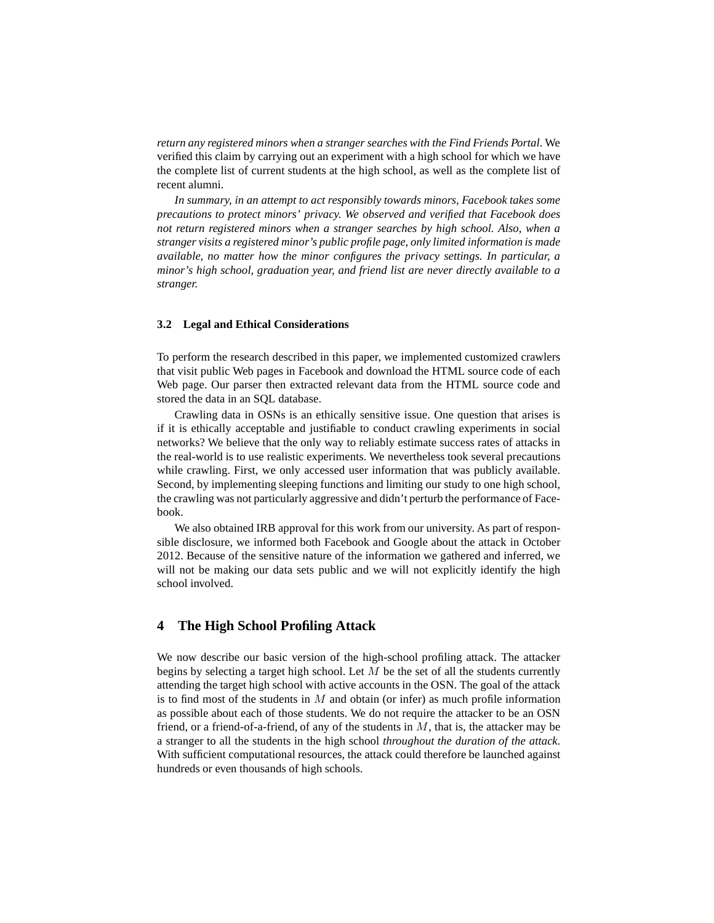*return any registered minors when a stranger searches with the Find Friends Portal*. We verified this claim by carrying out an experiment with a high school for which we have the complete list of current students at the high school, as well as the complete list of recent alumni.

*In summary, in an attempt to act responsibly towards minors, Facebook takes some precautions to protect minors' privacy. We observed and verified that Facebook does not return registered minors when a stranger searches by high school. Also, when a stranger visits a registered minor's public profile page, only limited information is made available, no matter how the minor configures the privacy settings. In particular, a minor's high school, graduation year, and friend list are never directly available to a stranger.*

### **3.2 Legal and Ethical Considerations**

To perform the research described in this paper, we implemented customized crawlers that visit public Web pages in Facebook and download the HTML source code of each Web page. Our parser then extracted relevant data from the HTML source code and stored the data in an SQL database.

Crawling data in OSNs is an ethically sensitive issue. One question that arises is if it is ethically acceptable and justifiable to conduct crawling experiments in social networks? We believe that the only way to reliably estimate success rates of attacks in the real-world is to use realistic experiments. We nevertheless took several precautions while crawling. First, we only accessed user information that was publicly available. Second, by implementing sleeping functions and limiting our study to one high school, the crawling was not particularly aggressive and didn't perturb the performance of Facebook.

We also obtained IRB approval for this work from our university. As part of responsible disclosure, we informed both Facebook and Google about the attack in October 2012. Because of the sensitive nature of the information we gathered and inferred, we will not be making our data sets public and we will not explicitly identify the high school involved.

# **4 The High School Profiling Attack**

We now describe our basic version of the high-school profiling attack. The attacker begins by selecting a target high school. Let  $M$  be the set of all the students currently attending the target high school with active accounts in the OSN. The goal of the attack is to find most of the students in  $M$  and obtain (or infer) as much profile information as possible about each of those students. We do not require the attacker to be an OSN friend, or a friend-of-a-friend, of any of the students in  $M$ , that is, the attacker may be a stranger to all the students in the high school *throughout the duration of the attack*. With sufficient computational resources, the attack could therefore be launched against hundreds or even thousands of high schools.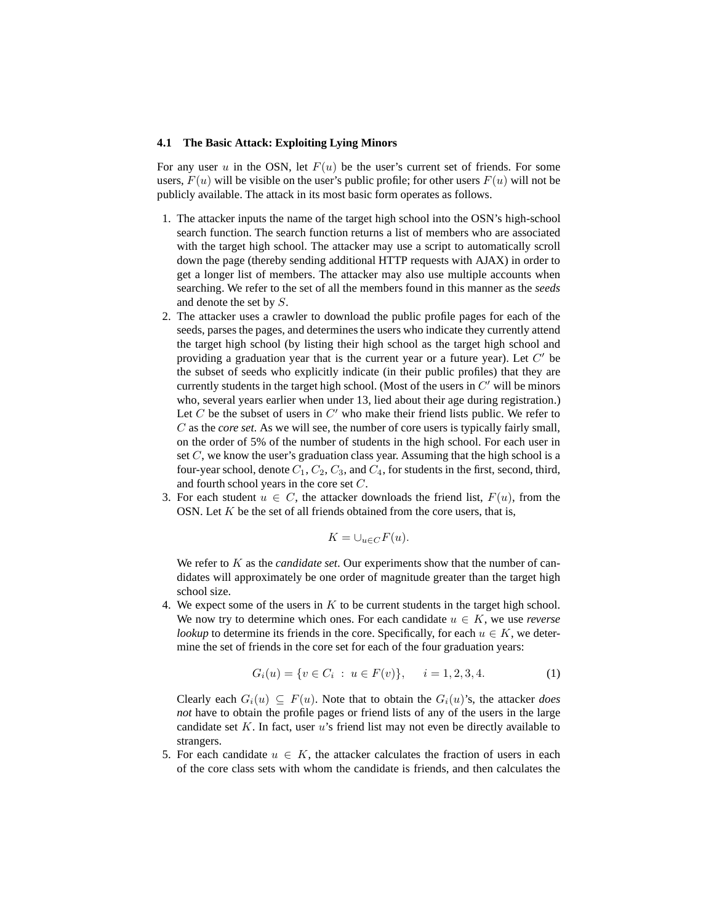#### **4.1 The Basic Attack: Exploiting Lying Minors**

For any user u in the OSN, let  $F(u)$  be the user's current set of friends. For some users,  $F(u)$  will be visible on the user's public profile; for other users  $F(u)$  will not be publicly available. The attack in its most basic form operates as follows.

- 1. The attacker inputs the name of the target high school into the OSN's high-school search function. The search function returns a list of members who are associated with the target high school. The attacker may use a script to automatically scroll down the page (thereby sending additional HTTP requests with AJAX) in order to get a longer list of members. The attacker may also use multiple accounts when searching. We refer to the set of all the members found in this manner as the *seeds* and denote the set by S.
- 2. The attacker uses a crawler to download the public profile pages for each of the seeds, parses the pages, and determines the users who indicate they currently attend the target high school (by listing their high school as the target high school and providing a graduation year that is the current year or a future year). Let  $C'$  be the subset of seeds who explicitly indicate (in their public profiles) that they are currently students in the target high school. (Most of the users in  $C'$  will be minors who, several years earlier when under 13, lied about their age during registration.) Let  $C$  be the subset of users in  $C'$  who make their friend lists public. We refer to C as the *core set*. As we will see, the number of core users is typically fairly small, on the order of 5% of the number of students in the high school. For each user in set  $C$ , we know the user's graduation class year. Assuming that the high school is a four-year school, denote  $C_1$ ,  $C_2$ ,  $C_3$ , and  $C_4$ , for students in the first, second, third, and fourth school years in the core set C.
- 3. For each student  $u \in C$ , the attacker downloads the friend list,  $F(u)$ , from the OSN. Let  $K$  be the set of all friends obtained from the core users, that is,

$$
K = \bigcup_{u \in C} F(u).
$$

We refer to K as the *candidate set*. Our experiments show that the number of candidates will approximately be one order of magnitude greater than the target high school size.

4. We expect some of the users in  $K$  to be current students in the target high school. We now try to determine which ones. For each candidate  $u \in K$ , we use *reverse lookup* to determine its friends in the core. Specifically, for each  $u \in K$ , we determine the set of friends in the core set for each of the four graduation years:

$$
G_i(u) = \{ v \in C_i : u \in F(v) \}, \quad i = 1, 2, 3, 4. \tag{1}
$$

Clearly each  $G_i(u) \subseteq F(u)$ . Note that to obtain the  $G_i(u)$ 's, the attacker *does not* have to obtain the profile pages or friend lists of any of the users in the large candidate set  $K$ . In fact, user  $u$ 's friend list may not even be directly available to strangers.

5. For each candidate  $u \in K$ , the attacker calculates the fraction of users in each of the core class sets with whom the candidate is friends, and then calculates the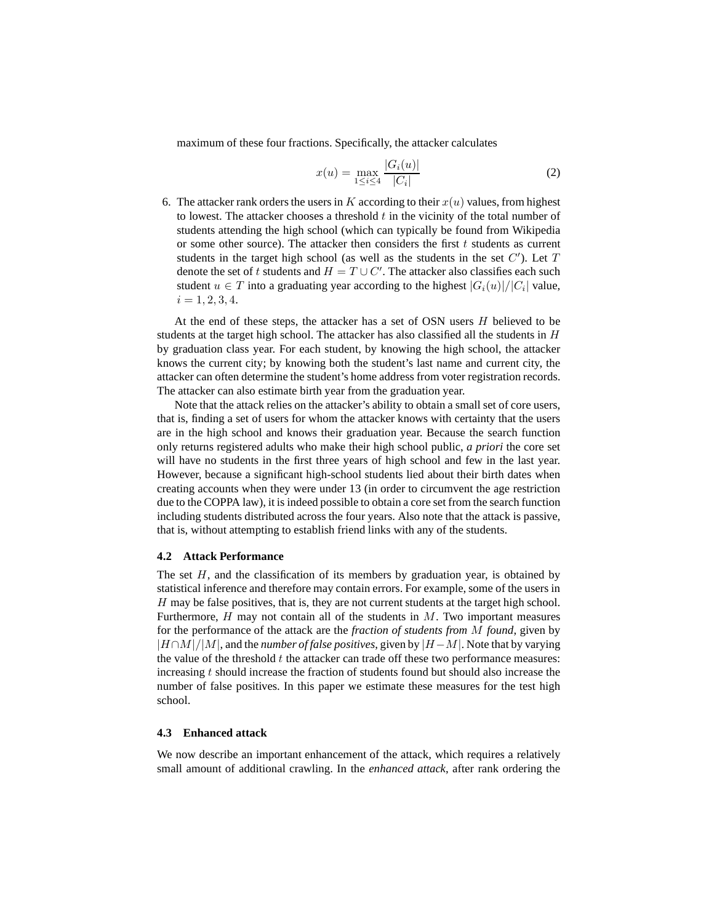maximum of these four fractions. Specifically, the attacker calculates

$$
x(u) = \max_{1 \le i \le 4} \frac{|G_i(u)|}{|C_i|} \tag{2}
$$

6. The attacker rank orders the users in K according to their  $x(u)$  values, from highest to lowest. The attacker chooses a threshold  $t$  in the vicinity of the total number of students attending the high school (which can typically be found from Wikipedia or some other source). The attacker then considers the first  $t$  students as current students in the target high school (as well as the students in the set  $C'$ ). Let  $T$ denote the set of t students and  $H = T \cup C'$ . The attacker also classifies each such student  $u \in T$  into a graduating year according to the highest  $|G_i(u)|/|C_i|$  value,  $i = 1, 2, 3, 4.$ 

At the end of these steps, the attacker has a set of OSN users  $H$  believed to be students at the target high school. The attacker has also classified all the students in  $H$ by graduation class year. For each student, by knowing the high school, the attacker knows the current city; by knowing both the student's last name and current city, the attacker can often determine the student's home address from voter registration records. The attacker can also estimate birth year from the graduation year.

Note that the attack relies on the attacker's ability to obtain a small set of core users, that is, finding a set of users for whom the attacker knows with certainty that the users are in the high school and knows their graduation year. Because the search function only returns registered adults who make their high school public, *a priori* the core set will have no students in the first three years of high school and few in the last year. However, because a significant high-school students lied about their birth dates when creating accounts when they were under 13 (in order to circumvent the age restriction due to the COPPA law), it is indeed possible to obtain a core set from the search function including students distributed across the four years. Also note that the attack is passive, that is, without attempting to establish friend links with any of the students.

### **4.2 Attack Performance**

The set  $H$ , and the classification of its members by graduation year, is obtained by statistical inference and therefore may contain errors. For example, some of the users in H may be false positives, that is, they are not current students at the target high school. Furthermore,  $H$  may not contain all of the students in  $M$ . Two important measures for the performance of the attack are the *fraction of students from* M *found*, given by |H∩M|/|M|, and the *number of false positives*, given by |H−M|. Note that by varying the value of the threshold  $t$  the attacker can trade off these two performance measures: increasing  $t$  should increase the fraction of students found but should also increase the number of false positives. In this paper we estimate these measures for the test high school.

### **4.3 Enhanced attack**

We now describe an important enhancement of the attack, which requires a relatively small amount of additional crawling. In the *enhanced attack*, after rank ordering the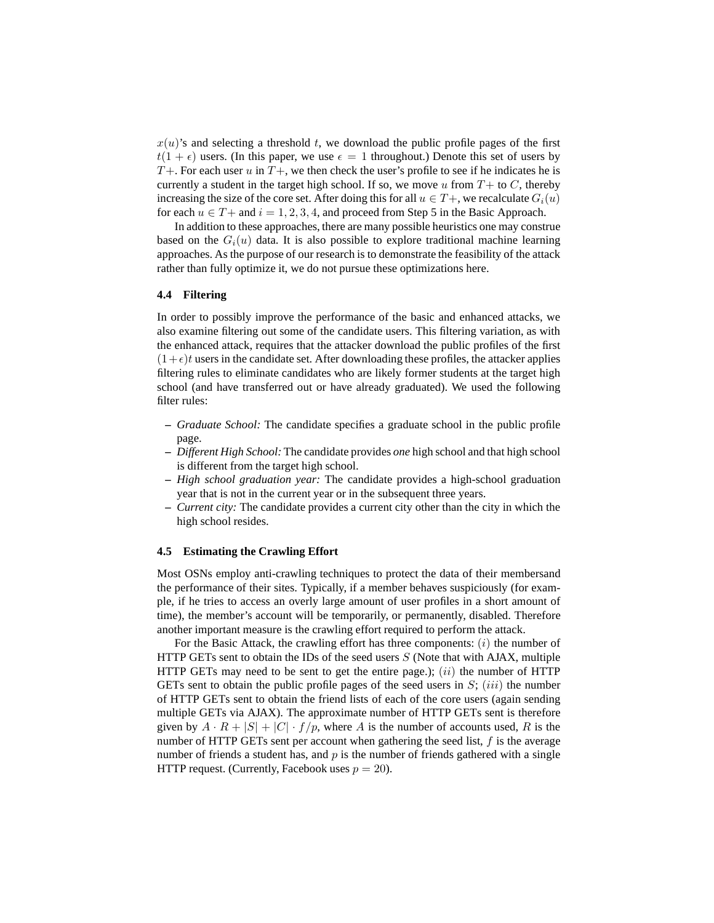$x(u)$ 's and selecting a threshold t, we download the public profile pages of the first  $t(1 + \epsilon)$  users. (In this paper, we use  $\epsilon = 1$  throughout.) Denote this set of users by  $T+$ . For each user u in  $T+$ , we then check the user's profile to see if he indicates he is currently a student in the target high school. If so, we move u from  $T+$  to C, thereby increasing the size of the core set. After doing this for all  $u \in T +$ , we recalculate  $G_i(u)$ for each  $u \in T+$  and  $i = 1, 2, 3, 4$ , and proceed from Step 5 in the Basic Approach.

In addition to these approaches, there are many possible heuristics one may construe based on the  $G_i(u)$  data. It is also possible to explore traditional machine learning approaches. As the purpose of our research is to demonstrate the feasibility of the attack rather than fully optimize it, we do not pursue these optimizations here.

### **4.4 Filtering**

In order to possibly improve the performance of the basic and enhanced attacks, we also examine filtering out some of the candidate users. This filtering variation, as with the enhanced attack, requires that the attacker download the public profiles of the first  $(1+\epsilon)t$  users in the candidate set. After downloading these profiles, the attacker applies filtering rules to eliminate candidates who are likely former students at the target high school (and have transferred out or have already graduated). We used the following filter rules:

- **–** *Graduate School:* The candidate specifies a graduate school in the public profile page.
- **–** *Different High School:* The candidate provides *one* high school and that high school is different from the target high school.
- **–** *High school graduation year:* The candidate provides a high-school graduation year that is not in the current year or in the subsequent three years.
- **–** *Current city:* The candidate provides a current city other than the city in which the high school resides.

#### **4.5 Estimating the Crawling Effort**

Most OSNs employ anti-crawling techniques to protect the data of their membersand the performance of their sites. Typically, if a member behaves suspiciously (for example, if he tries to access an overly large amount of user profiles in a short amount of time), the member's account will be temporarily, or permanently, disabled. Therefore another important measure is the crawling effort required to perform the attack.

For the Basic Attack, the crawling effort has three components:  $(i)$  the number of HTTP GETs sent to obtain the IDs of the seed users  $S$  (Note that with AJAX, multiple HTTP GETs may need to be sent to get the entire page.);  $(ii)$  the number of HTTP GETs sent to obtain the public profile pages of the seed users in  $S$ ;  $(iii)$  the number of HTTP GETs sent to obtain the friend lists of each of the core users (again sending multiple GETs via AJAX). The approximate number of HTTP GETs sent is therefore given by  $A \cdot R + |S| + |C| \cdot f/p$ , where A is the number of accounts used, R is the number of HTTP GETs sent per account when gathering the seed list,  $f$  is the average number of friends a student has, and  $p$  is the number of friends gathered with a single HTTP request. (Currently, Facebook uses  $p = 20$ ).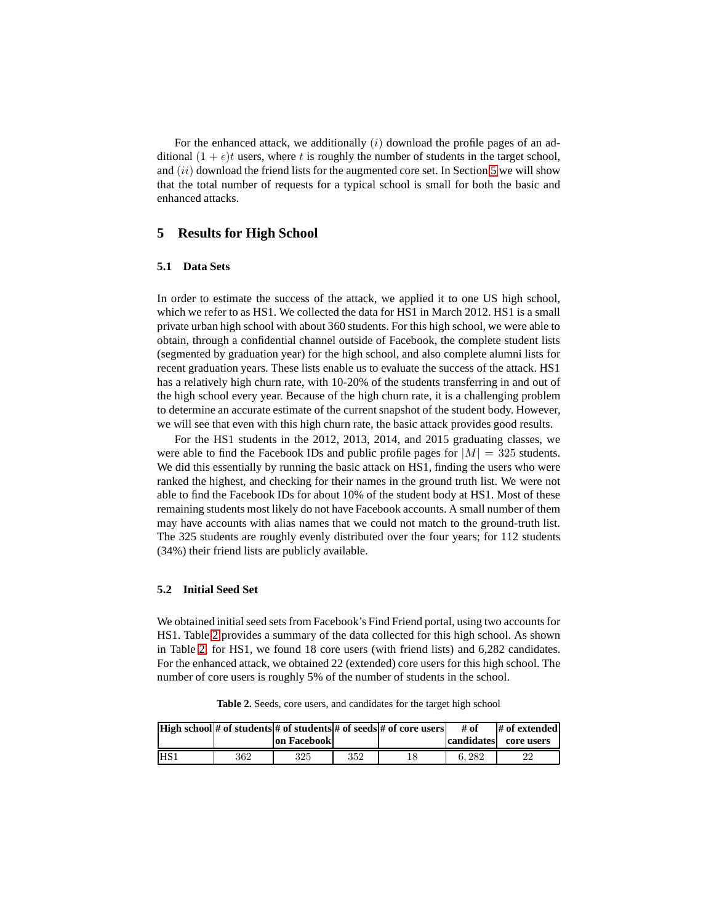For the enhanced attack, we additionally  $(i)$  download the profile pages of an additional  $(1 + \epsilon)t$  users, where t is roughly the number of students in the target school, and  $(ii)$  download the friend lists for the augmented core set. In Section [5](#page-9-0) we will show that the total number of requests for a typical school is small for both the basic and enhanced attacks.

# <span id="page-9-0"></span>**5 Results for High School**

### **5.1 Data Sets**

In order to estimate the success of the attack, we applied it to one US high school, which we refer to as HS1. We collected the data for HS1 in March 2012. HS1 is a small private urban high school with about 360 students. For this high school, we were able to obtain, through a confidential channel outside of Facebook, the complete student lists (segmented by graduation year) for the high school, and also complete alumni lists for recent graduation years. These lists enable us to evaluate the success of the attack. HS1 has a relatively high churn rate, with 10-20% of the students transferring in and out of the high school every year. Because of the high churn rate, it is a challenging problem to determine an accurate estimate of the current snapshot of the student body. However, we will see that even with this high churn rate, the basic attack provides good results.

For the HS1 students in the 2012, 2013, 2014, and 2015 graduating classes, we were able to find the Facebook IDs and public profile pages for  $|M| = 325$  students. We did this essentially by running the basic attack on HS1, finding the users who were ranked the highest, and checking for their names in the ground truth list. We were not able to find the Facebook IDs for about 10% of the student body at HS1. Most of these remaining students most likely do not have Facebook accounts. A small number of them may have accounts with alias names that we could not match to the ground-truth list. The 325 students are roughly evenly distributed over the four years; for 112 students (34%) their friend lists are publicly available.

### **5.2 Initial Seed Set**

We obtained initial seed sets from Facebook's Find Friend portal, using two accounts for HS1. Table [2](#page-9-1) provides a summary of the data collected for this high school. As shown in Table [2,](#page-9-1) for HS1, we found 18 core users (with friend lists) and 6,282 candidates. For the enhanced attack, we obtained 22 (extended) core users for this high school. The number of core users is roughly 5% of the number of students in the school.

<span id="page-9-1"></span>**Table 2.** Seeds, core users, and candidates for the target high school

|                  |     |             |     | <b>High school</b> # of students # of students # of seeds # of core users | # of       | # of extended |
|------------------|-----|-------------|-----|---------------------------------------------------------------------------|------------|---------------|
|                  |     | on Facebook |     |                                                                           | candidates | core users    |
| IHS <sub>1</sub> | 362 | 325         | 352 |                                                                           | 6.282      | 22            |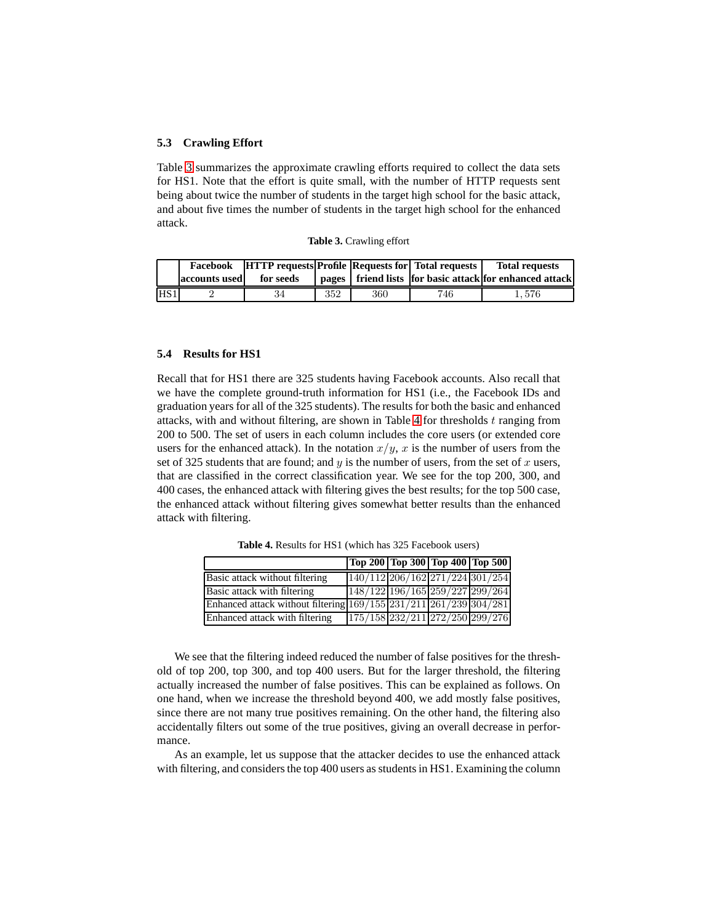#### **5.3 Crawling Effort**

Table [3](#page-10-0) summarizes the approximate crawling efforts required to collect the data sets for HS1. Note that the effort is quite small, with the number of HTTP requests sent being about twice the number of students in the target high school for the basic attack, and about five times the number of students in the target high school for the enhanced attack.

<span id="page-10-0"></span>

|  | Table 3. Crawling effort |  |
|--|--------------------------|--|
|--|--------------------------|--|

|     |               |           | <b>Facebook</b> HTTP requests Profile Requests for Total requests |     |     | <b>Total requests</b>                                       |  |
|-----|---------------|-----------|-------------------------------------------------------------------|-----|-----|-------------------------------------------------------------|--|
|     | accounts used | for seeds |                                                                   |     |     | pages   friend lists   for basic attack for enhanced attack |  |
| HS1 |               | 34        | 352                                                               | 360 | 746 | $1.\,\allowbreak576$                                        |  |

### **5.4 Results for HS1**

Recall that for HS1 there are 325 students having Facebook accounts. Also recall that we have the complete ground-truth information for HS1 (i.e., the Facebook IDs and graduation years for all of the 325 students). The results for both the basic and enhanced attacks, with and without filtering, are shown in Table [4](#page-10-1) for thresholds  $t$  ranging from 200 to 500. The set of users in each column includes the core users (or extended core users for the enhanced attack). In the notation  $x/y$ , x is the number of users from the set of 325 students that are found; and  $y$  is the number of users, from the set of  $x$  users, that are classified in the correct classification year. We see for the top 200, 300, and 400 cases, the enhanced attack with filtering gives the best results; for the top 500 case, the enhanced attack without filtering gives somewhat better results than the enhanced attack with filtering.

|                                                                   |  | Top 200 Top 300 Top 400 Top 500 |
|-------------------------------------------------------------------|--|---------------------------------|
| Basic attack without filtering                                    |  | 140/112 206/162 271/224 301/254 |
| Basic attack with filtering                                       |  | 148/122 196/165 259/227 299/264 |
| Enhanced attack without filtering 169/155 231/211 261/239 304/281 |  |                                 |
| Enhanced attack with filtering                                    |  | 175/158 232/211 272/250 299/276 |

<span id="page-10-1"></span>**Table 4.** Results for HS1 (which has 325 Facebook users)

We see that the filtering indeed reduced the number of false positives for the threshold of top 200, top 300, and top 400 users. But for the larger threshold, the filtering actually increased the number of false positives. This can be explained as follows. On one hand, when we increase the threshold beyond 400, we add mostly false positives, since there are not many true positives remaining. On the other hand, the filtering also accidentally filters out some of the true positives, giving an overall decrease in performance.

As an example, let us suppose that the attacker decides to use the enhanced attack with filtering, and considers the top 400 users as students in HS1. Examining the column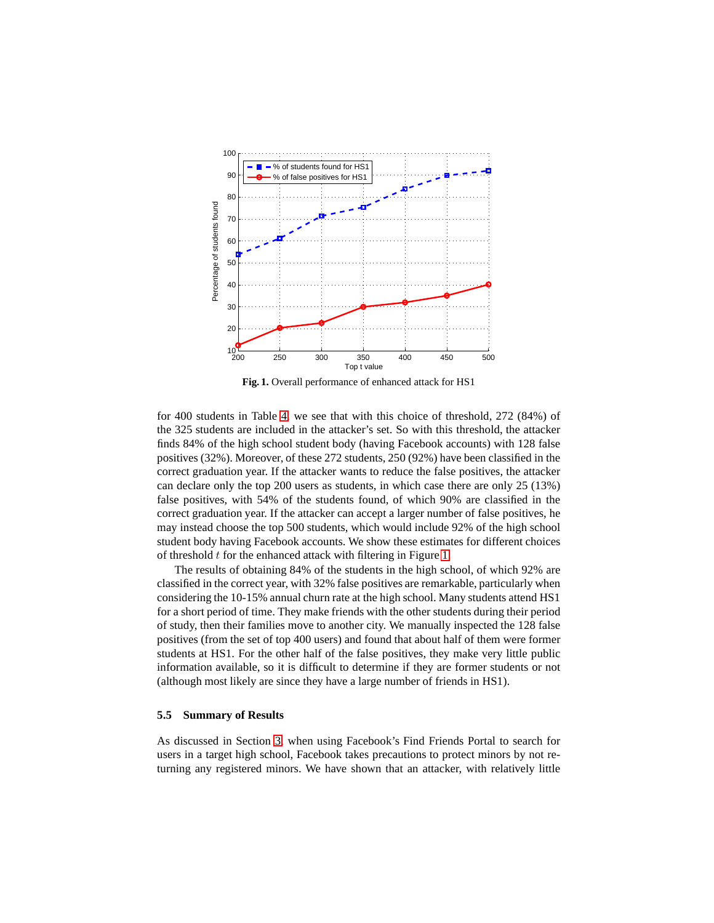

<span id="page-11-0"></span>**Fig. 1.** Overall performance of enhanced attack for HS1

for 400 students in Table [4,](#page-10-1) we see that with this choice of threshold, 272 (84%) of the 325 students are included in the attacker's set. So with this threshold, the attacker finds 84% of the high school student body (having Facebook accounts) with 128 false positives (32%). Moreover, of these 272 students, 250 (92%) have been classified in the correct graduation year. If the attacker wants to reduce the false positives, the attacker can declare only the top 200 users as students, in which case there are only 25 (13%) false positives, with 54% of the students found, of which 90% are classified in the correct graduation year. If the attacker can accept a larger number of false positives, he may instead choose the top 500 students, which would include 92% of the high school student body having Facebook accounts. We show these estimates for different choices of threshold  $t$  for the enhanced attack with filtering in Figure [1.](#page-11-0)

The results of obtaining 84% of the students in the high school, of which 92% are classified in the correct year, with 32% false positives are remarkable, particularly when considering the 10-15% annual churn rate at the high school. Many students attend HS1 for a short period of time. They make friends with the other students during their period of study, then their families move to another city. We manually inspected the 128 false positives (from the set of top 400 users) and found that about half of them were former students at HS1. For the other half of the false positives, they make very little public information available, so it is difficult to determine if they are former students or not (although most likely are since they have a large number of friends in HS1).

#### **5.5 Summary of Results**

As discussed in Section [3,](#page-3-0) when using Facebook's Find Friends Portal to search for users in a target high school, Facebook takes precautions to protect minors by not returning any registered minors. We have shown that an attacker, with relatively little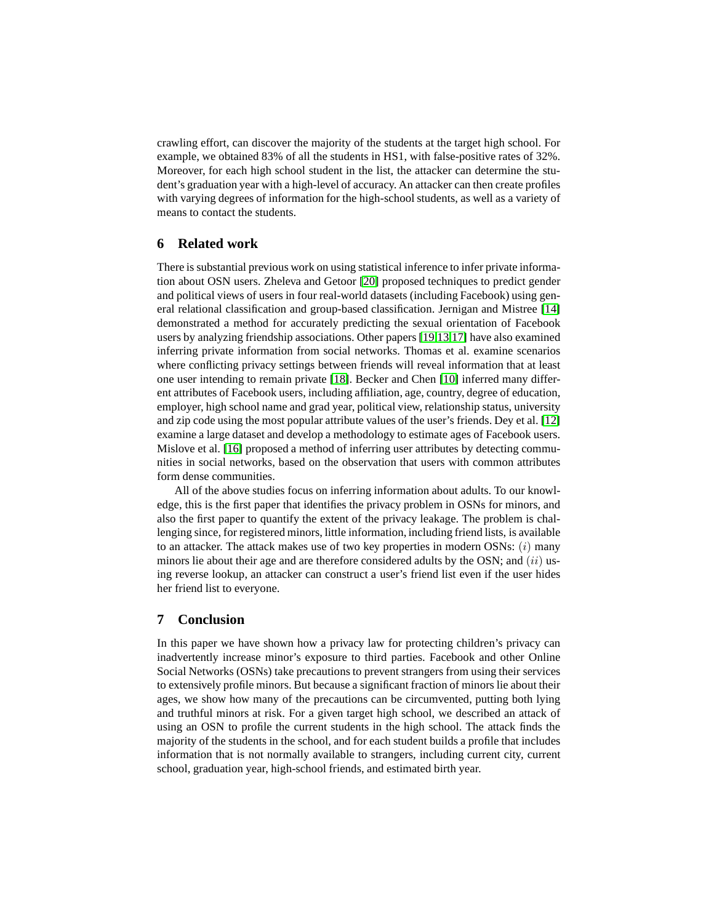crawling effort, can discover the majority of the students at the target high school. For example, we obtained 83% of all the students in HS1, with false-positive rates of 32%. Moreover, for each high school student in the list, the attacker can determine the student's graduation year with a high-level of accuracy. An attacker can then create profiles with varying degrees of information for the high-school students, as well as a variety of means to contact the students.

# **6 Related work**

There is substantial previous work on using statistical inference to infer private information about OSN users. Zheleva and Getoor [\[20\]](#page-14-1) proposed techniques to predict gender and political views of users in four real-world datasets (including Facebook) using general relational classification and group-based classification. Jernigan and Mistree [\[14\]](#page-13-10) demonstrated a method for accurately predicting the sexual orientation of Facebook users by analyzing friendship associations. Other papers [\[19,](#page-14-2)[13,](#page-13-11)[17\]](#page-14-3) have also examined inferring private information from social networks. Thomas et al. examine scenarios where conflicting privacy settings between friends will reveal information that at least one user intending to remain private [\[18\]](#page-14-4). Becker and Chen [\[10\]](#page-13-12) inferred many different attributes of Facebook users, including affiliation, age, country, degree of education, employer, high school name and grad year, political view, relationship status, university and zip code using the most popular attribute values of the user's friends. Dey et al. [\[12\]](#page-13-13) examine a large dataset and develop a methodology to estimate ages of Facebook users. Mislove et al. [\[16\]](#page-14-5) proposed a method of inferring user attributes by detecting communities in social networks, based on the observation that users with common attributes form dense communities.

All of the above studies focus on inferring information about adults. To our knowledge, this is the first paper that identifies the privacy problem in OSNs for minors, and also the first paper to quantify the extent of the privacy leakage. The problem is challenging since, for registered minors, little information, including friend lists, is available to an attacker. The attack makes use of two key properties in modern OSNs:  $(i)$  many minors lie about their age and are therefore considered adults by the OSN; and  $(ii)$  using reverse lookup, an attacker can construct a user's friend list even if the user hides her friend list to everyone.

# **7 Conclusion**

In this paper we have shown how a privacy law for protecting children's privacy can inadvertently increase minor's exposure to third parties. Facebook and other Online Social Networks (OSNs) take precautions to prevent strangers from using their services to extensively profile minors. But because a significant fraction of minors lie about their ages, we show how many of the precautions can be circumvented, putting both lying and truthful minors at risk. For a given target high school, we described an attack of using an OSN to profile the current students in the high school. The attack finds the majority of the students in the school, and for each student builds a profile that includes information that is not normally available to strangers, including current city, current school, graduation year, high-school friends, and estimated birth year.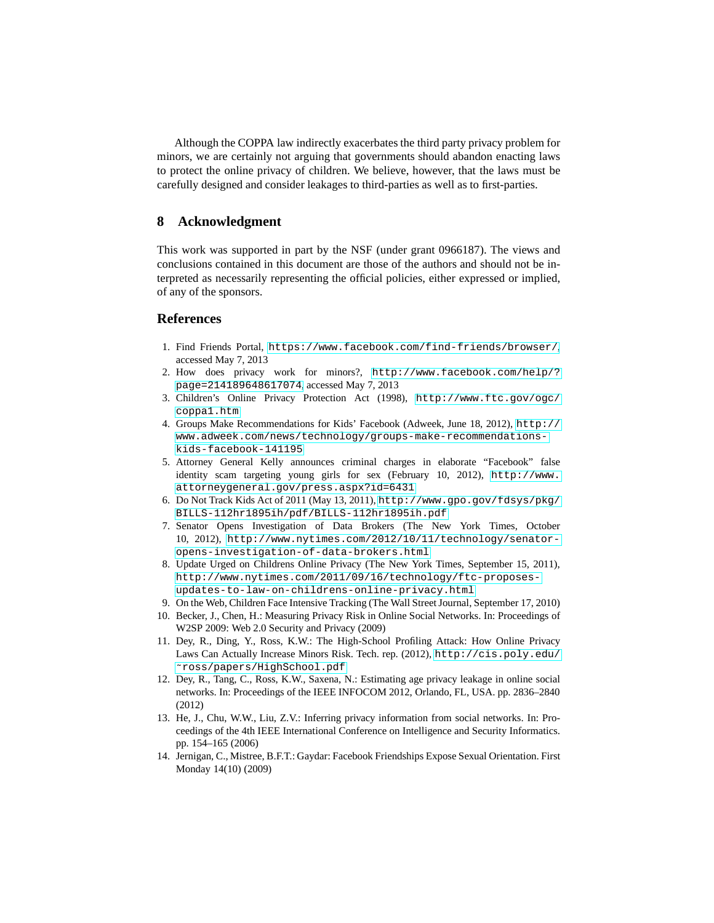Although the COPPA law indirectly exacerbates the third party privacy problem for minors, we are certainly not arguing that governments should abandon enacting laws to protect the online privacy of children. We believe, however, that the laws must be carefully designed and consider leakages to third-parties as well as to first-parties.

# **8 Acknowledgment**

This work was supported in part by the NSF (under grant 0966187). The views and conclusions contained in this document are those of the authors and should not be interpreted as necessarily representing the official policies, either expressed or implied, of any of the sponsors.

# <span id="page-13-9"></span>**References**

- <span id="page-13-4"></span>1. Find Friends Portal, <https://www.facebook.com/find-friends/browser/>, accessed May 7, 2013
- 2. How does privacy work for minors?, [http://www.facebook.com/help/?](http://www.facebook.com/help/?page=214189648617074) [page=214189648617074](http://www.facebook.com/help/?page=214189648617074), accessed May 7, 2013
- <span id="page-13-1"></span><span id="page-13-0"></span>3. Children's Online Privacy Protection Act (1998), [http://www.ftc.gov/ogc/](http://www.ftc.gov/ogc/coppa1.htm) [coppa1.htm](http://www.ftc.gov/ogc/coppa1.htm)
- 4. Groups Make Recommendations for Kids' Facebook (Adweek, June 18, 2012), [http://](http://www.adweek.com/news/technology/groups-make-recommendations-kids-facebook-141195) [www.adweek.com/news/technology/groups-make-recommendations](http://www.adweek.com/news/technology/groups-make-recommendations-kids-facebook-141195)[kids-facebook-141195](http://www.adweek.com/news/technology/groups-make-recommendations-kids-facebook-141195)
- <span id="page-13-8"></span>5. Attorney General Kelly announces criminal charges in elaborate "Facebook" false identity scam targeting young girls for sex (February 10, 2012), [http://www.](http://www.attorneygeneral.gov/press.aspx?id=6431) [attorneygeneral.gov/press.aspx?id=6431](http://www.attorneygeneral.gov/press.aspx?id=6431)
- <span id="page-13-7"></span><span id="page-13-2"></span>6. Do Not Track Kids Act of 2011 (May 13, 2011), [http://www.gpo.gov/fdsys/pkg/](http://www.gpo.gov/fdsys/pkg/BILLS-112hr1895ih/pdf/BILLS-112hr1895ih.pdf) [BILLS-112hr1895ih/pdf/BILLS-112hr1895ih.pdf](http://www.gpo.gov/fdsys/pkg/BILLS-112hr1895ih/pdf/BILLS-112hr1895ih.pdf)
- 7. Senator Opens Investigation of Data Brokers (The New York Times, October 10, 2012), [http://www.nytimes.com/2012/10/11/technology/senator](http://www.nytimes.com/2012/10/11/technology/senator-opens-investigation-of-data-brokers.html)[opens-investigation-of-data-brokers.html](http://www.nytimes.com/2012/10/11/technology/senator-opens-investigation-of-data-brokers.html)
- <span id="page-13-3"></span>8. Update Urged on Childrens Online Privacy (The New York Times, September 15, 2011), [http://www.nytimes.com/2011/09/16/technology/ftc-proposes](http://www.nytimes.com/2011/09/16/technology/ftc-proposes-updates-to-law-on-childrens-online-privacy.html)[updates-to-law-on-childrens-online-privacy.html](http://www.nytimes.com/2011/09/16/technology/ftc-proposes-updates-to-law-on-childrens-online-privacy.html)
- <span id="page-13-12"></span><span id="page-13-6"></span>9. On the Web, Children Face Intensive Tracking (The Wall Street Journal, September 17, 2010)
- 10. Becker, J., Chen, H.: Measuring Privacy Risk in Online Social Networks. In: Proceedings of W2SP 2009: Web 2.0 Security and Privacy (2009)
- <span id="page-13-5"></span>11. Dey, R., Ding, Y., Ross, K.W.: The High-School Profiling Attack: How Online Privacy Laws Can Actually Increase Minors Risk. Tech. rep. (2012), [http://cis.poly.edu/](http://cis.poly.edu/~ross/papers/HighSchool.pdf) [˜ross/papers/HighSchool.pdf](http://cis.poly.edu/~ross/papers/HighSchool.pdf)
- <span id="page-13-13"></span>12. Dey, R., Tang, C., Ross, K.W., Saxena, N.: Estimating age privacy leakage in online social networks. In: Proceedings of the IEEE INFOCOM 2012, Orlando, FL, USA. pp. 2836–2840 (2012)
- <span id="page-13-11"></span>13. He, J., Chu, W.W., Liu, Z.V.: Inferring privacy information from social networks. In: Proceedings of the 4th IEEE International Conference on Intelligence and Security Informatics. pp. 154–165 (2006)
- <span id="page-13-10"></span>14. Jernigan, C., Mistree, B.F.T.: Gaydar: Facebook Friendships Expose Sexual Orientation. First Monday 14(10) (2009)